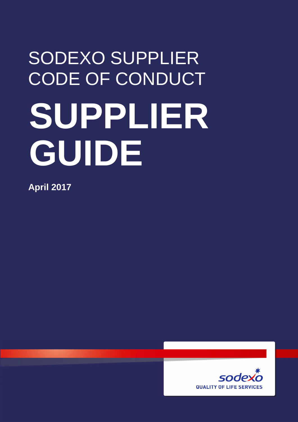# SODEXO SUPPLIER **CODE OF CONDUCT SUPPLIER GUIDE**

**April 2017** 

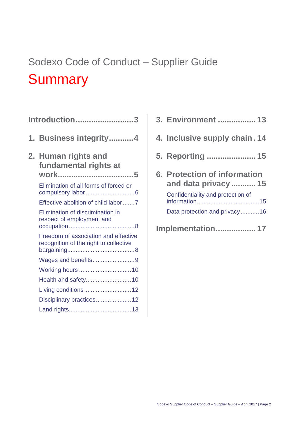# Sodexo Code of Conduct – Supplier Guide **Summary**

| <b>Introduction3</b> |                                                                                |
|----------------------|--------------------------------------------------------------------------------|
|                      | 1. Business integrity4                                                         |
|                      | 2. Human rights and<br>fundamental rights at<br>work5                          |
|                      | Elimination of all forms of forced or                                          |
|                      | Effective abolition of child labor7                                            |
|                      | Elimination of discrimination in<br>respect of employment and                  |
|                      | Freedom of association and effective<br>recognition of the right to collective |
|                      | Wages and benefits9                                                            |
|                      |                                                                                |
|                      | Health and safety10                                                            |
|                      |                                                                                |
|                      | Disciplinary practices12                                                       |
|                      |                                                                                |

| 3. Environment  13                                                                        |
|-------------------------------------------------------------------------------------------|
| 4. Inclusive supply chain. 14                                                             |
| 5. Reporting  15                                                                          |
| 6. Protection of information<br>and data privacy  15<br>Confidentiality and protection of |
|                                                                                           |
| Data protection and privacy16<br><b>Implementation 17</b>                                 |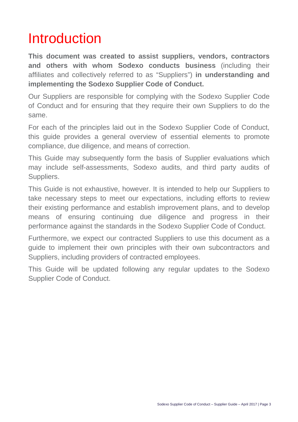# Introduction

**This document was created to assist suppliers, vendors, contractors and others with whom Sodexo conducts business** (including their affiliates and collectively referred to as "Suppliers") **in understanding and implementing the Sodexo Supplier Code of Conduct.** 

Our Suppliers are responsible for complying with the Sodexo Supplier Code of Conduct and for ensuring that they require their own Suppliers to do the same.

For each of the principles laid out in the Sodexo Supplier Code of Conduct, this guide provides a general overview of essential elements to promote compliance, due diligence, and means of correction.

This Guide may subsequently form the basis of Supplier evaluations which may include self-assessments, Sodexo audits, and third party audits of Suppliers.

This Guide is not exhaustive, however. It is intended to help our Suppliers to take necessary steps to meet our expectations, including efforts to review their existing performance and establish improvement plans, and to develop means of ensuring continuing due diligence and progress in their performance against the standards in the Sodexo Supplier Code of Conduct.

Furthermore, we expect our contracted Suppliers to use this document as a guide to implement their own principles with their own subcontractors and Suppliers, including providers of contracted employees.

This Guide will be updated following any regular updates to the Sodexo Supplier Code of Conduct.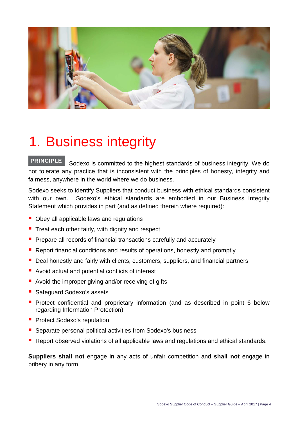

# 1. Business integrity

#### **PRINCIPLE**

 Sodexo is committed to the highest standards of business integrity. We do not tolerate any practice that is inconsistent with the principles of honesty, integrity and fairness, anywhere in the world where we do business.

Sodexo seeks to identify Suppliers that conduct business with ethical standards consistent with our own. Sodexo's ethical standards are embodied in our Business Integrity Statement which provides in part (and as defined therein where required):

- Obey all applicable laws and regulations
- $\blacksquare$  Treat each other fairly, with dignity and respect
- **Prepare all records of financial transactions carefully and accurately**
- **Report financial conditions and results of operations, honestly and promptly**
- **Deal honestly and fairly with clients, customers, suppliers, and financial partners**
- Avoid actual and potential conflicts of interest
- Avoid the improper giving and/or receiving of gifts
- Safeguard Sodexo's assets
- **Protect confidential and proprietary information (and as described in point 6 below** regarding Information Protection)
- **Protect Sodexo's reputation**
- Separate personal political activities from Sodexo's business
- Report observed violations of all applicable laws and regulations and ethical standards.

**Suppliers shall not** engage in any acts of unfair competition and **shall not** engage in bribery in any form.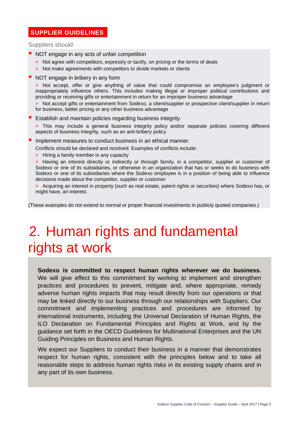#### **SUPPLIER GUIDELINES**

Suppliers should:

- NOT engage in any acts of unfair competition
	- > Not agree with competitors, expressly or tacitly, on pricing or the terms of deals
	- > Not make agreements with competitors to divide markets or clients
- NOT engage in bribery in any form

> Not accept, offer or give anything of value that could compromise an employee's judgment or inappropriately influence others. This includes making illegal or improper political contributions and providing or receiving gifts or entertainment in return for an improper business advantage

- > Not accept gifts or entertainment from Sodexo, a client/supplier or prospective client/supplier in return for business, better pricing or any other business advantage
- **E** Establish and maintain policies regarding business integrity.

> This may include a general business integrity policy and/or separate policies covering different aspects of business integrity, such as an anti-bribery policy

- **If** Implement measures to conduct business in an ethical manner.
	- Conflicts should be declared and resolved. Examples of conflicts include:
	- > Hiring a family member in any capacity

> Having an interest directly or indirectly or through family, in a competitor, supplier or customer of Sodexo or one of its subsidiaries, or otherwise in an organization that has or seeks to do business with Sodexo or one of its subsidiaries where the Sodexo employee is in a position of being able to influence decisions made about the competitor, supplier or customer

> Acquiring an interest in property (such as real estate, patent rights or securities) where Sodexo has, or might have, an interest.

(These examples do not extend to normal or proper financial investments in publicly quoted companies.)

# 2. Human rights and fundamental rights at work

**Sodexo is committed to respect human rights wherever we do business.**  We will give effect to this commitment by working to implement and strengthen practices and procedures to prevent, mitigate and, where appropriate, remedy adverse human rights impacts that may result directly from our operations or that may be linked directly to our business through our relationships with Suppliers. Our commitment and implementing practices and procedures are informed by international instruments, including the Universal Declaration of Human Rights, the ILO Declaration on Fundamental Principles and Rights at Work, and by the guidance set forth in the OECD Guidelines for Multinational Enterprises and the UN Guiding Principles on Business and Human Rights.

We expect our Suppliers to conduct their business in a manner that demonstrates respect for human rights, consistent with the principles below and to take all reasonable steps to address human rights risks in its existing supply chains and in any part of its own business.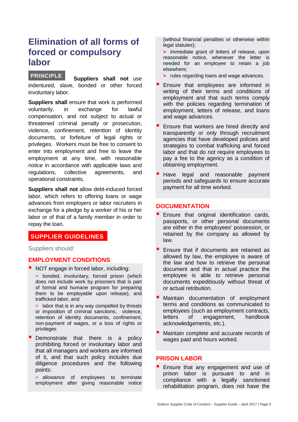### **Elimination of all forms of forced or compulsory labor**

#### **PRINCIPLE**

 **Suppliers shall not** use indentured, slave, bonded or other forced involuntary labor.

**Suppliers shall** ensure that work is performed voluntarily, in exchange for lawful compensation, and not subject to actual or threatened criminal penalty or prosecution, violence, confinement, retention of identity documents, or forfeiture of legal rights or privileges. Workers must be free to consent to enter into employment and free to leave the employment at any time, with reasonable notice in accordance with applicable laws and regulations, collective agreements, and operational constraints.

**Suppliers shall not** allow debt-induced forced labor, which refers to offering loans or wage advances from employers or labor recruiters in exchange for a pledge by a worker of his or her labor or of that of a family member in order to repay the loan.

#### **SUPPLIER GUIDELINES**

Suppliers should:

#### **EMPLOYMENT CONDITIONS**

- **NOT** engage in forced labor, including:
	- > bonded, involuntary, forced prison (which does not include work by prisoners that is part of formal and humane program for preparing them to be employable upon release), and trafficked labor, and

> labor that is in any way compelled by threats or imposition of criminal sanctions, violence, retention of identity documents, confinement, non-payment of wages, or a loss of rights or privileges

 Demonstrate that there is a policy prohibiting forced or involuntary labor and that all managers and workers are informed of it, and that such policy includes due diligence procedures and the following points:

> allowance of employees to terminate employment after giving reasonable notice

(without financial penalties or otherwise within legal statutes);

**>** immediate grant of letters of release, upon reasonable notice, whenever the letter is needed for an employee to retain a job elsewhere;

- **>** rules regarding loans and wage advances.
- Ensure that employees are informed in writing of their terms and conditions of employment and that such terms comply with the policies regarding termination of employment, letters of release, and loans and wage advances.
- Ensure that workers are hired directly and transparently or only through recruitment agencies that have developed policies and strategies to combat trafficking and forced labor and that do not require employees to pay a fee to the agency as a condition of obtaining employment.
- Have legal and reasonable payment periods and safeguards to ensure accurate payment for all time worked.

#### **DOCUMENTATION**

- Ensure that original identification cards, passports, or other personal documents are either in the employees' possession, or retained by the company as allowed by law.
- Ensure that if documents are retained as allowed by law, the employee is aware of the law and how to retrieve the personal document and that in actual practice the employee is able to retrieve personal documents expeditiously without threat of or actual retribution.
- Maintain documentation of employment terms and conditions as communicated to employees (such as employment contracts, letters of engagement, handbook acknowledgements, etc.).
- Maintain complete and accurate records of wages paid and hours worked.

#### **PRISON LABOR**

**Ensure that any engagement and use of** prison labor is pursuant to and in compliance with a legally sanctioned rehabilitation program, does not have the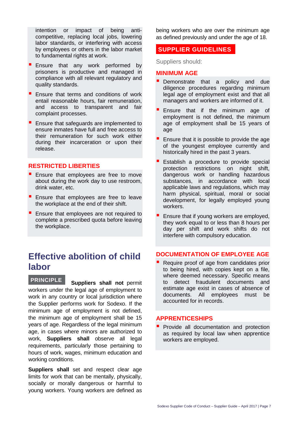intention or impact of being anticompetitive, replacing local jobs, lowering labor standards, or interfering with access by employees or others in the labor market to fundamental rights at work.

- **Ensure that any work performed by** prisoners is productive and managed in compliance with all relevant regulatory and quality standards.
- Ensure that terms and conditions of work entail reasonable hours, fair remuneration, and access to transparent and fair complaint processes.
- **Ensure that safeguards are implemented to** ensure inmates have full and free access to their remuneration for such work either during their incarceration or upon their release.

#### **RESTRICTED LIBERTIES**

- **E** Ensure that employees are free to move about during the work day to use restroom, drink water, etc.
- **E** Ensure that employees are free to leave the workplace at the end of their shift.
- **E** Ensure that employees are not required to complete a prescribed quota before leaving the workplace.

## **Effective abolition of child labor**

 **Suppliers shall not** permit workers under the legal age of employment to work in any country or local jurisdiction where the Supplier performs work for Sodexo. If the minimum age of employment is not defined. the minimum age of employment shall be 15 years of age. Regardless of the legal minimum age, in cases where minors are authorized to work, **Suppliers shall** observe all legal requirements, particularly those pertaining to hours of work, wages, minimum education and working conditions. **PRINCIPLE**

**Suppliers shall** set and respect clear age limits for work that can be mentally, physically, socially or morally dangerous or harmful to young workers. Young workers are defined as being workers who are over the minimum age as defined previously and under the age of 18.

#### **SUPPLIER GUIDELINES**

Suppliers should:

#### **MINIMUM AGE**

- **Demonstrate that a policy and due** diligence procedures regarding minimum legal age of employment exist and that all managers and workers are informed of it.
- Ensure that if the minimum age of employment is not defined, the minimum age of employment shall be 15 years of age
- Ensure that it is possible to provide the age of the youngest employee currently and historically hired in the past 3 years.
- Establish a procedure to provide special protection restrictions on night shift, dangerous work or handling hazardous substances, in accordance with local applicable laws and regulations, which may harm physical, spiritual, moral or social development, for legally employed young workers.
- Ensure that if young workers are employed, they work equal to or less than 8 hours per day per shift and work shifts do not interfere with compulsory education.

#### **DOCUMENTATION OF EMPLOYEE AGE**

 Require proof of age from candidates prior to being hired, with copies kept on a file, where deemed necessary. Specific means to detect fraudulent documents and estimate age exist in cases of absence of documents. All employees must be accounted for in records.

#### **APPRENTICESHIPS**

**P** Provide all documentation and protection as required by local law when apprentice workers are employed.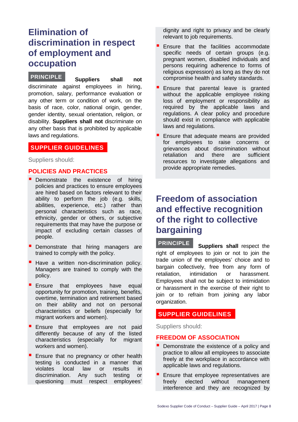## **Elimination of discrimination in respect of employment and occupation**

**Suppliers shall not** discriminate against employees in hiring, promotion, salary, performance evaluation or any other term or condition of work, on the basis of race, color, national origin, gender, gender identity, sexual orientation, religion, or disability. **Suppliers shall not** discriminate on any other basis that is prohibited by applicable laws and regulations. **PRINCIPLE**

#### **SUPPLIER GUIDELINES**

Suppliers should:

#### **POLICIES AND PRACTICES**

- **Demonstrate** the existence of hiring policies and practices to ensure employees are hired based on factors relevant to their ability to perform the job (e.g. skills, abilities, experience, etc.) rather than personal characteristics such as race, ethnicity, gender or others, or subjective requirements that may have the purpose or impact of excluding certain classes of people.
- **Demonstrate that hiring managers are** trained to comply with the policy.
- Have a written non-discrimination policy. Managers are trained to comply with the policy.
- **Ensure that employees have equal** opportunity for promotion, training, benefits, overtime, termination and retirement based on their ability and not on personal characteristics or beliefs (especially for migrant workers and women).
- **Ensure that employees are not paid** differently because of any of the listed characteristics (especially for migrant workers and women).
- **Ensure that no pregnancy or other health** testing is conducted in a manner that violates local law or results in discrimination. Any such testing or questioning must respect employees'

dignity and right to privacy and be clearly relevant to job requirements.

- Ensure that the facilities accommodate specific needs of certain groups (e.g. pregnant women, disabled individuals and persons requiring adherence to forms of religious expression) as long as they do not compromise health and safety standards.
- Ensure that parental leave is granted without the applicable employee risking loss of employment or responsibility as required by the applicable laws and regulations. A clear policy and procedure should exist in compliance with applicable laws and regulations.
- Ensure that adequate means are provided for employees to raise concerns or grievances about discrimination without retaliation and there are sufficient resources to investigate allegations and provide appropriate remedies.

## **Freedom of association and effective recognition of the right to collective bargaining**

 **Suppliers shall** respect the right of employees to join or not to join the trade union of the employees' choice and to bargain collectively, free from any form of retaliation, intimidation or harassment. Employees shall not be subject to intimidation or harassment in the exercise of their right to join or to refrain from joining any labor organization. **PRINCIPLE**

#### **SUPPLIER GUIDELINES**

Suppliers should:

#### **FREEDOM OF ASSOCIATION**

- **Demonstrate the existence of a policy and** practice to allow all employees to associate freely at the workplace in accordance with applicable laws and regulations.
- Ensure that employee representatives are freely elected without management interference and they are recognized by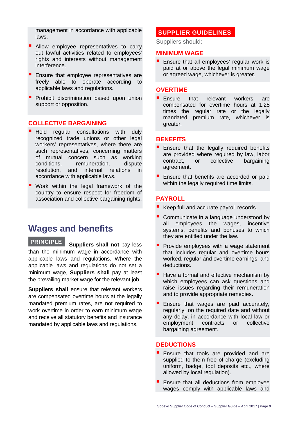management in accordance with applicable laws.

- **Allow employee representatives to carry** out lawful activities related to employees' rights and interests without management interference.
- **Ensure that employee representatives are** freely able to operate according to applicable laws and regulations.
- **Prohibit discrimination based upon union** support or opposition.

#### **COLLECTIVE BARGAINING**

- **Hold regular consultations with duly** recognized trade unions or other legal workers' representatives, where there are such representatives, concerning matters of mutual concern such as working conditions, remuneration, dispute resolution, and internal relations in accordance with applicable laws.
- **Work within the legal framework of the** country to ensure respect for freedom of association and collective bargaining rights.

### **Wages and benefits**

**Suppliers shall not pay less** than the minimum wage in accordance with applicable laws and regulations. Where the applicable laws and regulations do not set a minimum wage, **Suppliers shall** pay at least the prevailing market wage for the relevant job. **PRINCIPLE**

**Suppliers shall** ensure that relevant workers are compensated overtime hours at the legally mandated premium rates, are not required to work overtime in order to earn minimum wage and receive all statutory benefits and insurance mandated by applicable laws and regulations.

#### **SUPPLIER GUIDELINES**

Suppliers should:

#### **MINIMUM WAGE**

**E** Ensure that all employees' regular work is paid at or above the legal minimum wage or agreed wage, whichever is greater.

#### **OVERTIME**

**Ensure** that relevant workers are compensated for overtime hours at 1.25 times the regular rate or the legally mandated premium rate, whichever is greater.

#### **BENEFITS**

- Ensure that the legally required benefits are provided where required by law, labor contract, or collective bargaining agreement.
- Ensure that benefits are accorded or paid within the legally required time limits.

#### **PAYROLL**

- Keep full and accurate payroll records.
- Communicate in a language understood by all employees the wages, incentive systems, benefits and bonuses to which they are entitled under the law.
- Provide employees with a wage statement that includes regular and overtime hours worked, regular and overtime earnings, and deductions.
- Have a formal and effective mechanism by which employees can ask questions and raise issues regarding their remuneration and to provide appropriate remedies.
- Ensure that wages are paid accurately, regularly, on the required date and without any delay, in accordance with local law or employment contracts or collective bargaining agreement.

#### **DEDUCTIONS**

- Ensure that tools are provided and are supplied to them free of charge (excluding uniform, badge, tool deposits etc., where allowed by local regulation).
- Ensure that all deductions from employee wages comply with applicable laws and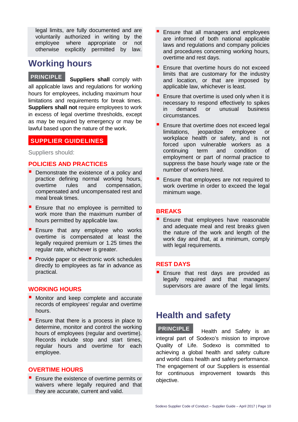legal limits, are fully documented and are voluntarily authorized in writing by the employee where appropriate or not otherwise explicitly permitted by law.

# **Working hours**

 **Suppliers shall** comply with all applicable laws and regulations for working hours for employees, including maximum hour limitations and requirements for break times. **Suppliers shall not** require employees to work in excess of legal overtime thresholds, except as may be required by emergency or may be lawful based upon the nature of the work. **PRINCIPLE**

#### **SUPPLIER GUIDELINES**

Suppliers should:

#### **POLICIES AND PRACTICES**

- **Demonstrate the existence of a policy and** practice defining normal working hours, overtime rules and compensation, compensated and uncompensated rest and meal break times.
- **E** Ensure that no employee is permitted to work more than the maximum number of hours permitted by applicable law.
- **Ensure that any employee who works** overtime is compensated at least the legally required premium or 1.25 times the regular rate, whichever is greater.
- **Provide paper or electronic work schedules** directly to employees as far in advance as practical.

#### **WORKING HOURS**

- **Monitor and keep complete and accurate** records of employees' regular and overtime hours.
- $\blacksquare$  Ensure that there is a process in place to determine, monitor and control the working hours of employees (regular and overtime). Records include stop and start times, regular hours and overtime for each employee.

#### **OVERTIME HOURS**

**Ensure the existence of overtime permits or** waivers where legally required and that they are accurate, current and valid.

- Ensure that all managers and employees are informed of both national applicable laws and regulations and company policies and procedures concerning working hours, overtime and rest days.
- Ensure that overtime hours do not exceed limits that are customary for the industry and location, or that are imposed by applicable law, whichever is least.
- Ensure that overtime is used only when it is necessary to respond effectively to spikes in demand or unusual business circumstances.
- Ensure that overtime does not exceed legal limitations, jeopardize employee or workplace health or safety, and is not forced upon vulnerable workers as a continuing term and condition of employment or part of normal practice to suppress the base hourly wage rate or the number of workers hired.
- Ensure that employees are not required to work overtime in order to exceed the legal minimum wage.

#### **BREAKS**

**Ensure that employees have reasonable** and adequate meal and rest breaks given the nature of the work and length of the work day and that, at a minimum, comply with legal requirements.

#### **REST DAYS**

**Ensure that rest days are provided as** legally required and that managers/ supervisors are aware of the legal limits.

### **Health and safety**

 Health and Safety is an integral part of Sodexo's mission to improve Quality of Life. Sodexo is committed to achieving a global health and safety culture and world class health and safety performance. The engagement of our Suppliers is essential for continuous improvement towards this objective. **PRINCIPLE**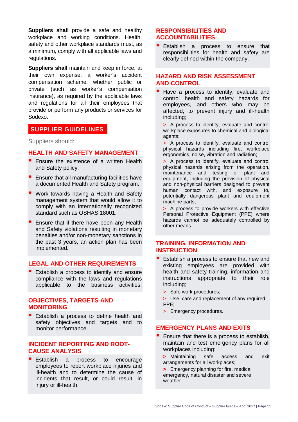**Suppliers shall** provide a safe and healthy workplace and working conditions. Health, safety and other workplace standards must, as a minimum, comply with all applicable laws and regulations.

**Suppliers shall** maintain and keep in force, at their own expense, a worker's accident compensation scheme, whether public or private (such as worker's compensation insurance), as required by the applicable laws and regulations for all their employees that provide or perform any products or services for Sodexo.

#### **SUPPLIER GUIDELINES**

Suppliers should:

#### **HEALTH AND SAFETY MANAGEMENT**

- **E** Ensure the existence of a written Health and Safety policy.
- $\blacksquare$  Ensure that all manufacturing facilities have a documented Health and Safety program.
- **Work towards having a Health and Safety** management system that would allow it to comply with an internationally recognized standard such as OSHAS 18001.
- **Ensure that if there have been any Health** and Safety violations resulting in monetary penalties and/or non-monetary sanctions in the past 3 years, an action plan has been implemented.

#### **LEGAL AND OTHER REQUIREMENTS**

**E** Establish a process to identify and ensure compliance with the laws and regulations applicable to the business activities.

#### **OBJECTIVES, TARGETS AND MONITORING**

**Establish a process to define health and** safety objectives and targets and to monitor performance.

#### **INCIDENT REPORTING AND ROOT-CAUSE ANALYSIS**

**Establish a process to encourage** employees to report workplace injuries and ill-health and to determine the cause of incidents that result, or could result, in injury or ill-health.

#### **RESPONSIBILITIES AND ACCOUNTABILITIES**

**Establish a process to ensure that** responsibilities for health and safety are clearly defined within the company.

#### **HAZARD AND RISK ASSESSMENT AND CONTROL**

- Have a process to identify, evaluate and control health and safety hazards for employees, and others who may be affected, to prevent injury and ill-health including;
	- > A process to identify, evaluate and control workplace exposures to chemical and biological agents;
	- > A process to identify, evaluate and control physical hazards including fire, workplace ergonomics, noise, vibration and radiation;

> A process to identify, evaluate and control physical hazards arising from the operation, maintenance and testing of plant and equipment, including the provision of physical and non-physical barriers designed to prevent human contact with, and exposure to, potentially dangerous plant and equipment machine parts;

> A process to provide workers with effective Personal Protective Equipment (PPE) where hazards cannot be adequately controlled by other means.

#### **TRAINING, INFORMATION AND INSTRUCTION**

- Establish a process to ensure that new and existing employees are provided with health and safety training, information and instructions appropriate to their role including;
	- > Safe work procedures;
	- > Use, care and replacement of any required PPE;
	- > Emergency procedures.

#### **EMERGENCY PLANS AND EXITS**

- Ensure that there is a process to establish, maintain and test emergency plans for all workplaces including:
	- **>** Maintaining safe access and exit arrangements for all workplaces;
	- **>** Emergency planning for fire, medical emergency, natural disaster and severe weather.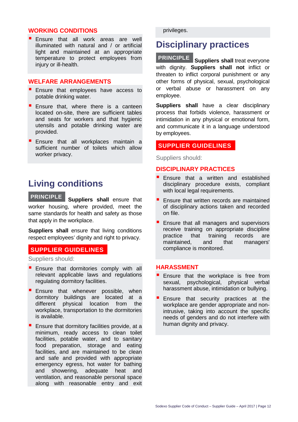#### **WORKING CONDITIONS**

**Ensure that all work areas are well** illuminated with natural and / or artificial light and maintained at an appropriate temperature to protect employees from injury or ill-health.

#### **WELFARE ARRANGEMENTS**

- **Ensure that employees have access to** potable drinking water.
- **Ensure that, where there is a canteen** located on-site, there are sufficient tables and seats for workers and that hygienic utensils and potable drinking water are provided.
- **Ensure that all workplaces maintain a** sufficient number of toilets which allow worker privacy.

### **Living conditions**

**Suppliers shall** ensure that worker housing, where provided, meet the same standards for health and safety as those that apply in the workplace. **PRINCIPLE**

**Suppliers shall** ensure that living conditions respect employees' dignity and right to privacy.

#### **SUPPLIER GUIDELINES**

Suppliers should:

- **Ensure that dormitories comply with all** relevant applicable laws and regulations regulating dormitory facilities.
- **Ensure that whenever possible, whene** dormitory buildings are located at a different physical location from the workplace, transportation to the dormitories is available.
- **E** Ensure that dormitory facilities provide, at a minimum, ready access to clean toilet facilities, potable water, and to sanitary food preparation, storage and eating facilities, and are maintained to be clean and safe and provided with appropriate emergency egress, hot water for bathing and showering, adequate heat and ventilation, and reasonable personal space along with reasonable entry and exit

privileges.

### **Disciplinary practices**

#### **PRINCIPLE**

**Suppliers shall** treat everyone with dignity. **Suppliers shall not** inflict or threaten to inflict corporal punishment or any other forms of physical, sexual, psychological or verbal abuse or harassment on any employee.

**Suppliers shall** have a clear disciplinary process that forbids violence, harassment or intimidation in any physical or emotional form, and communicate it in a language understood by employees.

#### **SUPPLIER GUIDELINES**

Suppliers should:

#### **DISCIPLINARY PRACTICES**

- Ensure that a written and established disciplinary procedure exists, compliant with local legal requirements.
- Ensure that written records are maintained of disciplinary actions taken and recorded on file.
- **Ensure that all managers and supervisors** receive training on appropriate discipline practice that training records are maintained, and that managers' compliance is monitored.

#### **HARASSMENT**

- Ensure that the workplace is free from<br>sexual, psychological, physical verbal sexual, psychological, harassment abuse, intimidation or bullying.
- Ensure that security practices at the workplace are gender appropriate and nonintrusive, taking into account the specific needs of genders and do not interfere with human dignity and privacy.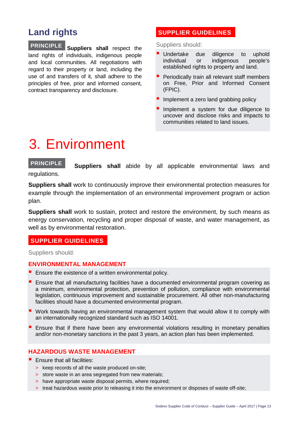# **Land rights**

**Suppliers shall** respect the land rights of individuals, indigenous people and local communities. All negotiations with regard to their property or land, including the use of and transfers of it, shall adhere to the principles of free, prior and informed consent, contract transparency and disclosure. **PRINCIPLE**

#### **SUPPLIER GUIDELINES**

Suppliers should:

- **Undertake due diligence to uphold** individual or indigenous people's established rights to property and land.
- **Periodically train all relevant staff members** on Free, Prior and Informed Consent (FPIC).
- Implement a zero land grabbing policy
- Implement a system for due diligence to uncover and disclose risks and impacts to communities related to land issues.

# 3. Environment

**PRINCIPLE**

**Suppliers shall** abide by all applicable environmental laws and

regulations.

**Suppliers shall** work to continuously improve their environmental protection measures for example through the implementation of an environmental improvement program or action plan.

**Suppliers shall** work to sustain, protect and restore the environment, by such means as energy conservation, recycling and proper disposal of waste, and water management, as well as by environmental restoration.

#### **SUPPLIER GUIDELINES**

Suppliers should:

#### **ENVIRONMENTAL MANAGEMENT**

- **Ensure the existence of a written environmental policy.**
- **E** Ensure that all manufacturing facilities have a documented environmental program covering as a minimum, environmental protection, prevention of pollution, compliance with environmental legislation, continuous improvement and sustainable procurement. All other non-manufacturing facilities should have a documented environmental program.
- Work towards having an environmental management system that would allow it to comply with an internationally recognized standard such as ISO 14001.
- **E** Ensure that if there have been any environmental violations resulting in monetary penalties and/or non-monetary sanctions in the past 3 years, an action plan has been implemented.

#### **HAZARDOUS WASTE MANAGEMENT**

- $\blacksquare$  Fnsure that all facilities:
	- > keep records of all the waste produced on-site;
	- > store waste in an area segregated from new materials;
	- > have appropriate waste disposal permits, where required;
	- > treat hazardous waste prior to releasing it into the environment or disposes of waste off-site;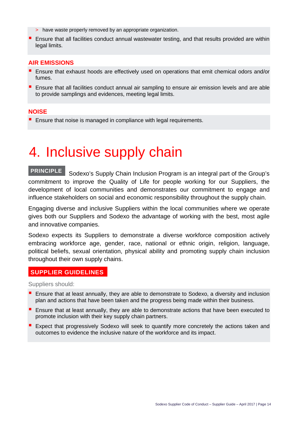- > have waste properly removed by an appropriate organization.
- **E** Ensure that all facilities conduct annual wastewater testing, and that results provided are within legal limits.

#### **AIR EMISSIONS**

- **E** Ensure that exhaust hoods are effectively used on operations that emit chemical odors and/or fumes.
- **E** Ensure that all facilities conduct annual air sampling to ensure air emission levels and are able to provide samplings and evidences, meeting legal limits.

#### **NOISE**

**E** Ensure that noise is managed in compliance with legal requirements.

# 4. Inclusive supply chain

 Sodexo's Supply Chain Inclusion Program is an integral part of the Group's commitment to improve the Quality of Life for people working for our Suppliers, the development of local communities and demonstrates our commitment to engage and influence stakeholders on social and economic responsibility throughout the supply chain. **PRINCIPLE**

Engaging diverse and inclusive Suppliers within the local communities where we operate gives both our Suppliers and Sodexo the advantage of working with the best, most agile and innovative companies.

Sodexo expects its Suppliers to demonstrate a diverse workforce composition actively embracing workforce age, gender, race, national or ethnic origin, religion, language, political beliefs, sexual orientation, physical ability and promoting supply chain inclusion throughout their own supply chains.

#### **SUPPLIER GUIDELINES**

Suppliers should:

- **E** Ensure that at least annually, they are able to demonstrate to Sodexo, a diversity and inclusion plan and actions that have been taken and the progress being made within their business.
- **E** Ensure that at least annually, they are able to demonstrate actions that have been executed to promote inclusion with their key supply chain partners.
- **Expect that progressively Sodexo will seek to quantify more concretely the actions taken and** outcomes to evidence the inclusive nature of the workforce and its impact.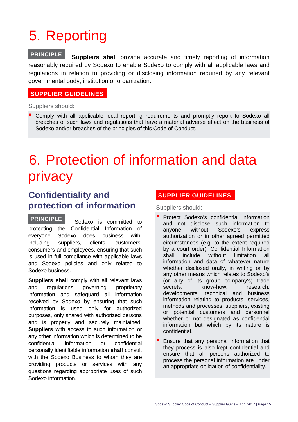# 5. Reporting

 **Suppliers shall** provide accurate and timely reporting of information reasonably required by Sodexo to enable Sodexo to comply with all applicable laws and regulations in relation to providing or disclosing information required by any relevant governmental body, institution or organization. **PRINCIPLE**

#### **SUPPLIER GUIDELINES**

#### Suppliers should:

**Comply with all applicable local reporting requirements and promptly report to Sodexo all** breaches of such laws and regulations that have a material adverse effect on the business of Sodexo and/or breaches of the principles of this Code of Conduct.

# 6. Protection of information and data privacy

### **Confidentiality and protection of information**

 Sodexo is committed to protecting the Confidential Information of everyone Sodexo does business with, including suppliers, clients, customers, consumers and employees, ensuring that such is used in full compliance with applicable laws and Sodexo policies and only related to Sodexo business. **PRINCIPLE**

**Suppliers shall** comply with all relevant laws and regulations governing proprietary information and safeguard all information received by Sodexo by ensuring that such information is used only for authorized purposes, only shared with authorized persons and is properly and securely maintained. **Suppliers** with access to such information or any other information which is determined to be confidential information or confidential personally identifiable information **shall** consult with the Sodexo Business to whom they are providing products or services with any questions regarding appropriate uses of such Sodexo information.

#### **SUPPLIER GUIDELINES**

Suppliers should:

- Protect Sodexo's confidential information and not disclose such information to anyone without Sodexo's express authorization or in other agreed permitted circumstances (e.g. to the extent required by a court order). Confidential Information shall include without limitation all information and data of whatever nature whether disclosed orally, in writing or by any other means which relates to Sodexo's (or any of its group company's) trade secrets, know-how, research, developments, technical and business information relating to products, services, methods and processes, suppliers, existing or potential customers and personnel whether or not designated as confidential information but which by its nature is confidential.
- Ensure that any personal information that they process is also kept confidential and ensure that all persons authorized to process the personal information are under an appropriate obligation of confidentiality.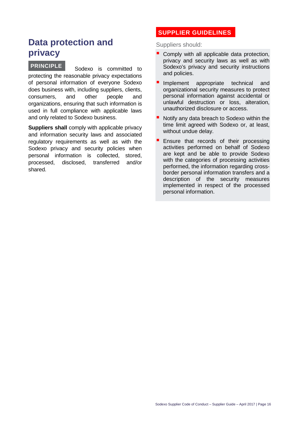## **Data protection and privacy**

 Sodexo is committed to protecting the reasonable privacy expectations of personal information of everyone Sodexo does business with, including suppliers, clients, consumers, and other people and organizations, ensuring that such information is used in full compliance with applicable laws and only related to Sodexo business. **PRINCIPLE**

**Suppliers shall** comply with applicable privacy and information security laws and associated regulatory requirements as well as with the Sodexo privacy and security policies when personal information is collected, stored, processed, disclosed, transferred and/or shared.

#### **SUPPLIER GUIDELINES**

Suppliers should:

- Comply with all applicable data protection, privacy and security laws as well as with Sodexo's privacy and security instructions and policies.
- Implement appropriate technical and organizational security measures to protect personal information against accidental or unlawful destruction or loss, alteration, unauthorized disclosure or access.
- Notify any data breach to Sodexo within the time limit agreed with Sodexo or, at least, without undue delay.
- Ensure that records of their processing activities performed on behalf of Sodexo are kept and be able to provide Sodexo with the categories of processing activities performed, the information regarding crossborder personal information transfers and a description of the security measures implemented in respect of the processed personal information.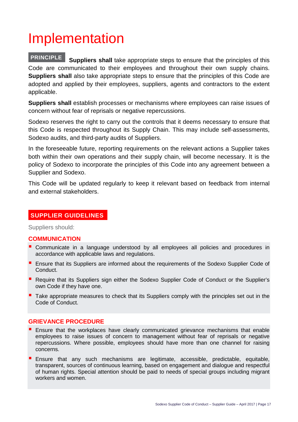# Implementation

#### **Suppliers shall** take appropriate steps to ensure that the principles of this Code are communicated to their employees and throughout their own supply chains. **Suppliers shall** also take appropriate steps to ensure that the principles of this Code are adopted and applied by their employees, suppliers, agents and contractors to the extent applicable. **PRINCIPLE**

**Suppliers shall** establish processes or mechanisms where employees can raise issues of concern without fear of reprisals or negative repercussions.

Sodexo reserves the right to carry out the controls that it deems necessary to ensure that this Code is respected throughout its Supply Chain. This may include self-assessments, Sodexo audits, and third-party audits of Suppliers.

In the foreseeable future, reporting requirements on the relevant actions a Supplier takes both within their own operations and their supply chain, will become necessary. It is the policy of Sodexo to incorporate the principles of this Code into any agreement between a Supplier and Sodexo.

This Code will be updated regularly to keep it relevant based on feedback from internal and external stakeholders.

#### **SUPPLIER GUIDELINES**

Suppliers should:

#### **COMMUNICATION**

- Communicate in a language understood by all employees all policies and procedures in accordance with applicable laws and regulations.
- **Ensure that its Suppliers are informed about the requirements of the Sodexo Supplier Code of** Conduct.
- **Require that its Suppliers sign either the Sodexo Supplier Code of Conduct or the Supplier's** own Code if they have one.
- Take appropriate measures to check that its Suppliers comply with the principles set out in the Code of Conduct.

#### **GRIEVANCE PROCEDURE**

- **E** Ensure that the workplaces have clearly communicated grievance mechanisms that enable employees to raise issues of concern to management without fear of reprisals or negative repercussions. Where possible, employees should have more than one channel for raising concerns.
- **Ensure that any such mechanisms are legitimate, accessible, predictable, equitable,** transparent, sources of continuous learning, based on engagement and dialogue and respectful of human rights. Special attention should be paid to needs of special groups including migrant workers and women.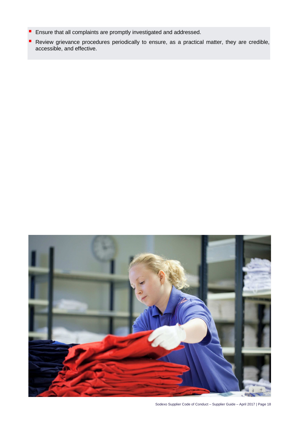- **Ensure that all complaints are promptly investigated and addressed.**
- **Review grievance procedures periodically to ensure, as a practical matter, they are credible,** accessible, and effective.



Sodexo Supplier Code of Conduct – Supplier Guide – April 2017 | Page 18